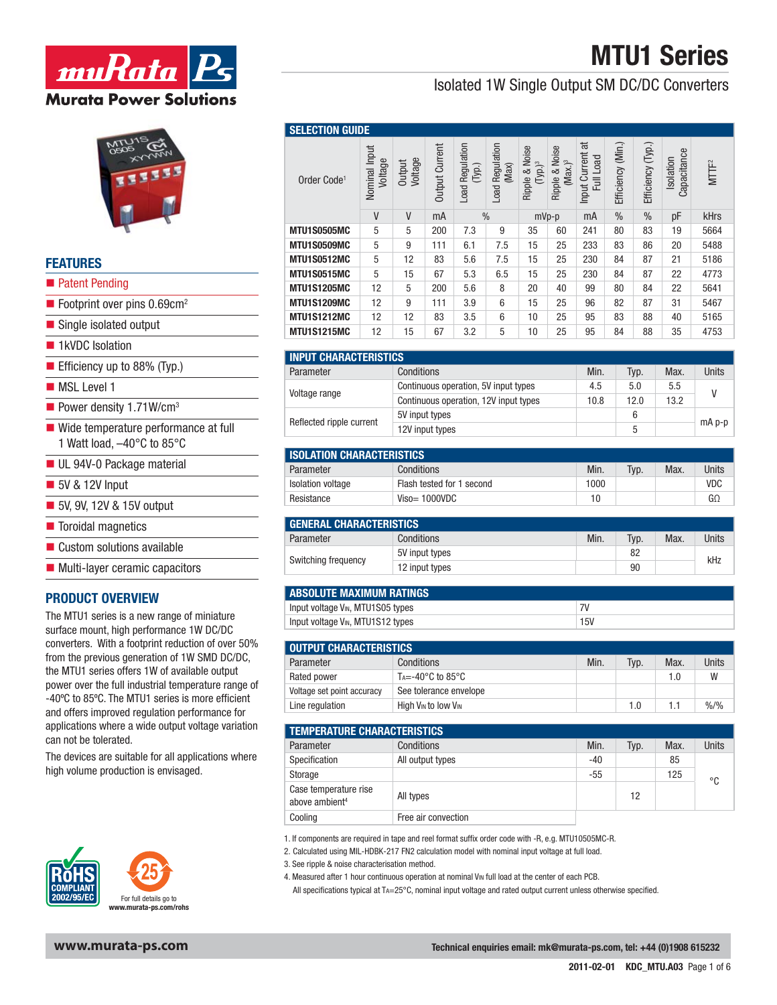Isolated 1W Single Output SM DC/DC Converters



# **FEATURES**

- **Patent Pending**
- $\blacksquare$  Footprint over pins 0.69cm<sup>2</sup>
- Single isolated output
- 1kVDC Isolation
- Efficiency up to  $88\%$  (Typ.)
- **MSL Level 1**
- Power density  $1.71$ W/cm<sup>3</sup>
- Wide temperature performance at full 1 Watt load, –40°C to 85°C
- **UL 94V-0 Package material**
- 5V & 12V Input
- 5V, 9V, 12V & 15V output
- **Toroidal magnetics**
- Custom solutions available
- **Multi-layer ceramic capacitors**

### **PRODUCT OVERVIEW**

The MTU1 series is a new range of miniature surface mount, high performance 1W DC/DC converters. With a footprint reduction of over 50% from the previous generation of 1W SMD DC/DC, the MTU1 series offers 1W of available output power over the full industrial temperature range of -40°C to 85°C. The MTU1 series is more efficient and offers improved regulation performance for applications where a wide output voltage variation can not be tolerated.

The devices are suitable for all applications where high volume production is envisaged.



### **SELECTION GUID**

| <b>JELLUTIUM QUIDL</b>  |                          |                   |                |                              |                                        |                              |                                     |                                 |                      |                   |                          |                   |
|-------------------------|--------------------------|-------------------|----------------|------------------------------|----------------------------------------|------------------------------|-------------------------------------|---------------------------------|----------------------|-------------------|--------------------------|-------------------|
| Order Code <sup>1</sup> | Nominal Input<br>Voltage | Voltage<br>Output | Output Current | Regulation<br>(Typ.)<br>Load | Regulation<br>(Max)<br>$\mathsf{load}$ | Ripple & Noise<br>$(Typ.)^3$ | Ripple & Noise<br>Max. <sup>3</sup> | ಕ<br>Input Current<br>Full Load | (Min.)<br>Efficiency | Efficiency (Typ.) | Capacitance<br>Isolation | MTTF <sup>2</sup> |
|                         | $\mathsf{V}$             | V                 | mA             | $\%$                         |                                        |                              | $mVp-p$                             | mA                              | $\frac{0}{0}$        | $\%$              | pF                       | kHrs              |
| <b>MTU1S0505MC</b>      | 5                        | 5                 | 200            | 7.3                          | 9                                      | 35                           | 60                                  | 241                             | 80                   | 83                | 19                       | 5664              |
| <b>MTU1S0509MC</b>      | 5                        | 9                 | 111            | 6.1                          | 7.5                                    | 15                           | 25                                  | 233                             | 83                   | 86                | 20                       | 5488              |
| <b>MTU1S0512MC</b>      | 5                        | 12                | 83             | 5.6                          | 7.5                                    | 15                           | 25                                  | 230                             | 84                   | 87                | 21                       | 5186              |
| <b>MTU1S0515MC</b>      | 5                        | 15                | 67             | 5.3                          | 6.5                                    | 15                           | 25                                  | 230                             | 84                   | 87                | 22                       | 4773              |
| <b>MTU1S1205MC</b>      | 12                       | 5                 | 200            | 5.6                          | 8                                      | 20                           | 40                                  | 99                              | 80                   | 84                | 22                       | 5641              |
| <b>MTU1S1209MC</b>      | 12                       | 9                 | 111            | 3.9                          | 6                                      | 15                           | 25                                  | 96                              | 82                   | 87                | 31                       | 5467              |
| <b>MTU1S1212MC</b>      | 12                       | 12                | 83             | 3.5                          | 6                                      | 10                           | 25                                  | 95                              | 83                   | 88                | 40                       | 5165              |
| <b>MTU1S1215MC</b>      | 12                       | 15                | 67             | 3.2                          | 5                                      | 10                           | 25                                  | 95                              | 84                   | 88                | 35                       | 4753              |

| <b>INPUT CHARACTERISTICS</b> |                                       |      |      |      |          |
|------------------------------|---------------------------------------|------|------|------|----------|
| Parameter                    | Conditions                            | Min. | Typ. | Max. | Units    |
|                              | Continuous operation, 5V input types  | 4.5  | 5.0  | 5.5  |          |
| Voltage range                | Continuous operation, 12V input types | 10.8 | 12.0 | 13.2 |          |
| Reflected ripple current     | 5V input types                        |      | 6    |      |          |
|                              | 12V input types                       |      | 5    |      | $mA$ p-p |

| <b>ISOLATION CHARACTERISTICS</b> |                           |      |      |      |            |
|----------------------------------|---------------------------|------|------|------|------------|
| Parameter                        | Conditions                | Min. | Tvp. | Max. | Units      |
| Isolation voltage                | Flash tested for 1 second | 1000 |      |      | <b>VDC</b> |
| Resistance                       | $Viso=1000VDC$            | 10   |      |      | GΩ         |

| <b>GENERAL CHARACTERISTICS</b> |                |      |      |      |       |
|--------------------------------|----------------|------|------|------|-------|
| Parameter                      | Conditions     | Min. | Typ. | Max. | Units |
|                                | 5V input types |      | 82   |      | kHz   |
| Switching frequency            | 12 input types |      | 90   |      |       |

| <b>ABSOLUTE MAXIMUM RATINGS</b>               |     |
|-----------------------------------------------|-----|
| Input voltage V <sub>IN</sub> , MTU1S05 types |     |
| Input voltage V <sub>IN</sub> , MTU1S12 types | 15V |

| <b>OUTPUT CHARACTERISTICS</b> |                                                    |      |      |      |                  |
|-------------------------------|----------------------------------------------------|------|------|------|------------------|
| Parameter                     | Conditions                                         | Min. | Typ. | Max. | Units            |
| Rated power                   | $T_A = -40^\circ \text{C}$ to 85 $^\circ \text{C}$ |      |      | 1.0  | W                |
| Voltage set point accuracy    | See tolerance envelope                             |      |      |      |                  |
| Line regulation               | High V <sub>IN</sub> to low V <sub>IN</sub>        |      | 1.0  |      | $\frac{9}{6}$ /% |

| <b>TEMPERATURE CHARACTERISTICS</b>                  |                     |       |      |      |       |
|-----------------------------------------------------|---------------------|-------|------|------|-------|
| Parameter                                           | Conditions          | Min.  | Typ. | Max. | Units |
| Specification                                       | All output types    | $-40$ |      | 85   |       |
| Storage                                             |                     | $-55$ |      | 125  | °C    |
| Case temperature rise<br>above ambient <sup>4</sup> | All types           |       | 12   |      |       |
| Cooling                                             | Free air convection |       |      |      |       |

1. If components are required in tape and reel format suffix order code with -R, e.g. MTU10505MC-R.

2. Calculated using MIL-HDBK-217 FN2 calculation model with nominal input voltage at full load.

3. See ripple & noise characterisation method.

4. Measured after 1 hour continuous operation at nominal VIM full load at the center of each PCB.

All specifications typical at TA=25°C, nominal input voltage and rated output current unless otherwise specified.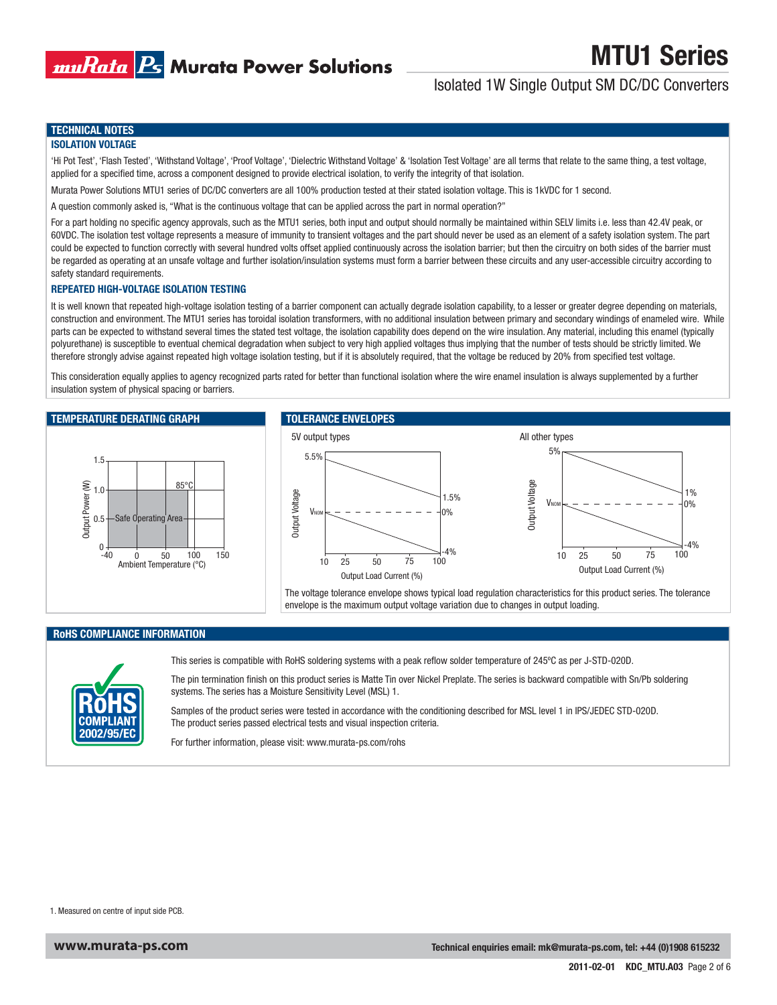

# Isolated 1W Single Output SM DC/DC Converters

### **TECHNICAL NOTES**

#### **ISOLATION VOLTAGE**

'Hi Pot Test', 'Flash Tested', 'Withstand Voltage', 'Proof Voltage', 'Dielectric Withstand Voltage' & 'Isolation Test Voltage' are all terms that relate to the same thing, a test voltage, applied for a specified time, across a component designed to provide electrical isolation, to verify the integrity of that isolation.

Murata Power Solutions MTU1 series of DC/DC converters are all 100% production tested at their stated isolation voltage. This is 1kVDC for 1 second.

A question commonly asked is, "What is the continuous voltage that can be applied across the part in normal operation?"

For a part holding no specific agency approvals, such as the MTU1 series, both input and output should normally be maintained within SELV limits i.e. less than 42.4V peak, or 60VDC. The isolation test voltage represents a measure of immunity to transient voltages and the part should never be used as an element of a safety isolation system. The part could be expected to function correctly with several hundred volts offset applied continuously across the isolation barrier; but then the circuitry on both sides of the barrier must be regarded as operating at an unsafe voltage and further isolation/insulation systems must form a barrier between these circuits and any user-accessible circuitry according to safety standard requirements.

#### **REPEATED HIGH-VOLTAGE ISOLATION TESTING**

It is well known that repeated high-voltage isolation testing of a barrier component can actually degrade isolation capability, to a lesser or greater degree depending on materials, construction and environment. The MTU1 series has toroidal isolation transformers, with no additional insulation between primary and secondary windings of enameled wire. While parts can be expected to withstand several times the stated test voltage, the isolation capability does depend on the wire insulation. Any material, including this enamel (typically polyurethane) is susceptible to eventual chemical degradation when subject to very high applied voltages thus implying that the number of tests should be strictly limited. We therefore strongly advise against repeated high voltage isolation testing, but if it is absolutely required, that the voltage be reduced by 20% from specified test voltage.

This consideration equally applies to agency recognized parts rated for better than functional isolation where the wire enamel insulation is always supplemented by a further insulation system of physical spacing or barriers.

#### **TEMPERATURE DERATING GRAPH**



# **TOLERANCE ENVELOPES**



**RoHS COMPLIANCE INFORMATION**



This series is compatible with RoHS soldering systems with a peak reflow solder temperature of 245°C as per J-STD-020D.

The pin termination finish on this product series is Matte Tin over Nickel Preplate. The series is backward compatible with Sn/Pb soldering systems. The series has a Moisture Sensitivity Level (MSL) 1.

envelope is the maximum output voltage variation due to changes in output loading.

Samples of the product series were tested in accordance with the conditioning described for MSL level 1 in IPS/JEDEC STD-020D. The product series passed electrical tests and visual inspection criteria.

For further information, please visit: www.murata-ps.com/rohs

1. Measured on centre of input side PCB.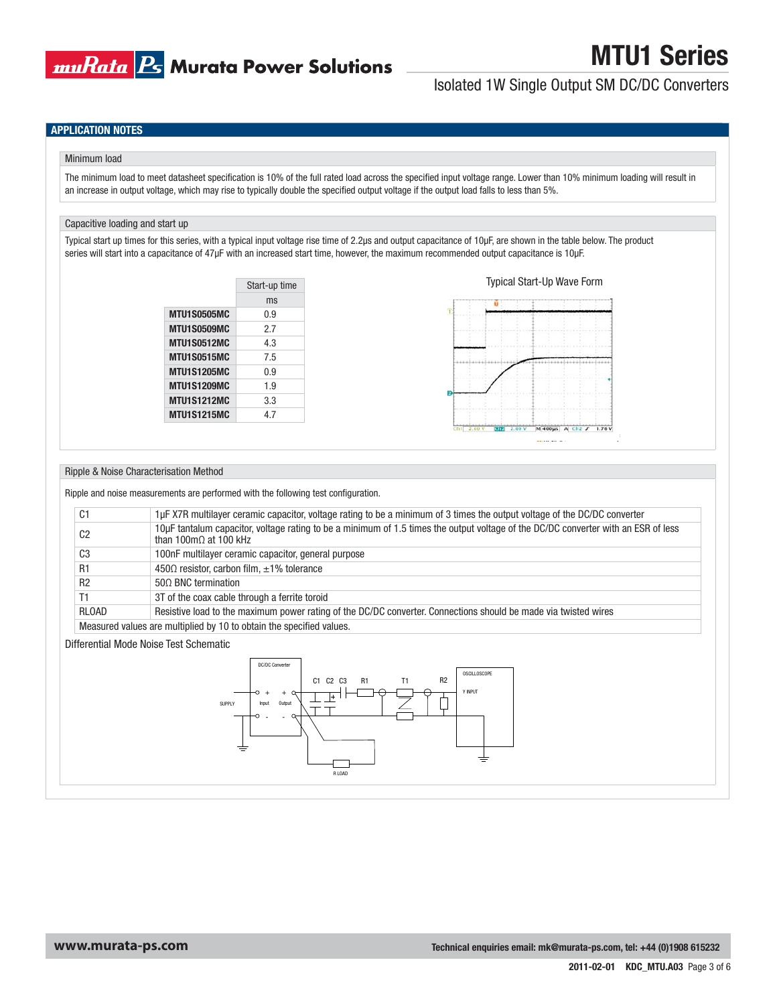

# Isolated 1W Single Output SM DC/DC Converters

# **APPLICATION NOTES**

#### Minimum load

The minimum load to meet datasheet specification is 10% of the full rated load across the specified input voltage range. Lower than 10% minimum loading will result in an increase in output voltage, which may rise to typically double the specified output voltage if the output load falls to less than 5%.

### Capacitive loading and start up

Typical start up times for this series, with a typical input voltage rise time of 2.2μs and output capacitance of 10μF, are shown in the table below. The product series will start into a capacitance of 47μF with an increased start time, however, the maximum recommended output capacitance is 10μF.

| ms<br><b>MTU1S0505MC</b><br>0.9<br>MTU1S0509MC<br>2.7<br><b>MTU1S0512MC</b><br>4.3<br><b>MTU1S0515MC</b><br>7.5<br><b>MTU1S1205MC</b><br>0.9<br><b>MTU1S1209MC</b><br>19<br><b>MTU1S1212MC</b><br>3.3<br><b>MTU1S1215MC</b><br>47 | Start-up time |
|-----------------------------------------------------------------------------------------------------------------------------------------------------------------------------------------------------------------------------------|---------------|
|                                                                                                                                                                                                                                   |               |
|                                                                                                                                                                                                                                   |               |
|                                                                                                                                                                                                                                   |               |
|                                                                                                                                                                                                                                   |               |
|                                                                                                                                                                                                                                   |               |
|                                                                                                                                                                                                                                   |               |
|                                                                                                                                                                                                                                   |               |
|                                                                                                                                                                                                                                   |               |
|                                                                                                                                                                                                                                   |               |



#### Ripple & Noise Characterisation Method

Ripple and noise measurements are performed with the following test configuration.

| C <sub>1</sub> | 1µF X7R multilayer ceramic capacitor, voltage rating to be a minimum of 3 times the output voltage of the DC/DC converter                                           |
|----------------|---------------------------------------------------------------------------------------------------------------------------------------------------------------------|
| C <sub>2</sub> | 10µF tantalum capacitor, voltage rating to be a minimum of 1.5 times the output voltage of the DC/DC converter with an ESR of less<br>than 100m $\Omega$ at 100 kHz |
| C <sub>3</sub> | 100nF multilayer ceramic capacitor, general purpose                                                                                                                 |
| R <sub>1</sub> | $450\Omega$ resistor, carbon film, $\pm 1\%$ tolerance                                                                                                              |
| R <sub>2</sub> | $500$ BNC termination                                                                                                                                               |
| Τ1             | 3T of the coax cable through a ferrite toroid                                                                                                                       |
| <b>RLOAD</b>   | Resistive load to the maximum power rating of the DC/DC converter. Connections should be made via twisted wires                                                     |
|                | Measured values are multiplied by 10 to obtain the specified values.                                                                                                |

Differential Mode Noise Test Schematic

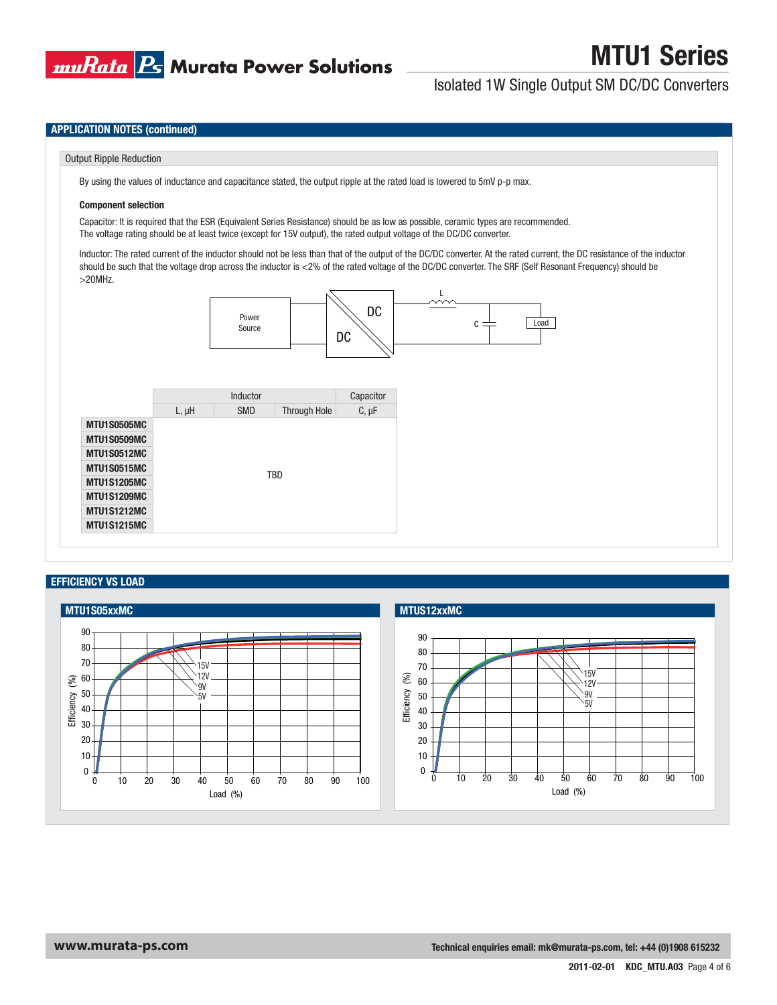

Isolated 1W Single Output SM DC/DC Converters

### **APPLICATION NOTES (continued)**

### Output Ripple Reduction

By using the values of inductance and capacitance stated, the output ripple at the rated load is lowered to 5mV p-p max.

#### **Component selection**

Capacitor: It is required that the ESR (Equivalent Series Resistance) should be as low as possible, ceramic types are recommended. The voltage rating should be at least twice (except for 15V output), the rated output voltage of the DC/DC converter.

Inductor: The rated current of the inductor should not be less than that of the output of the DC/DC converter. At the rated current, the DC resistance of the inductor should be such that the voltage drop across the inductor is <2% of the rated voltage of the DC/DC converter. The SRF (Self Resonant Frequency) should be >20MHz.



# **EFFICIENCY VS LOAD**

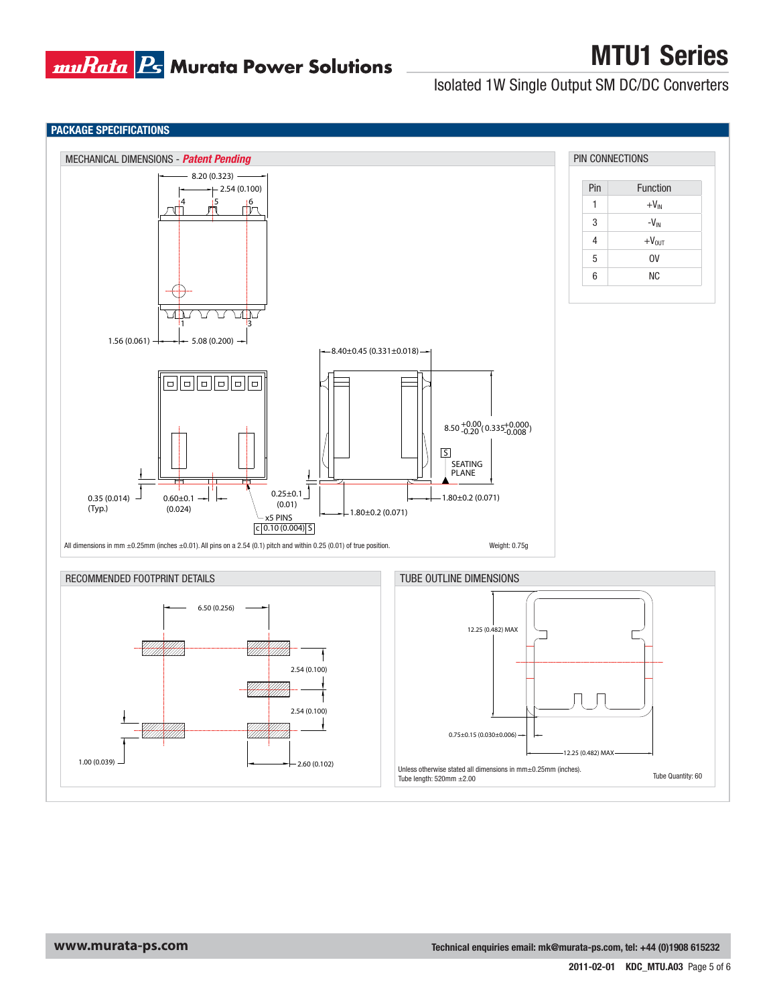

Isolated 1W Single Output SM DC/DC Converters